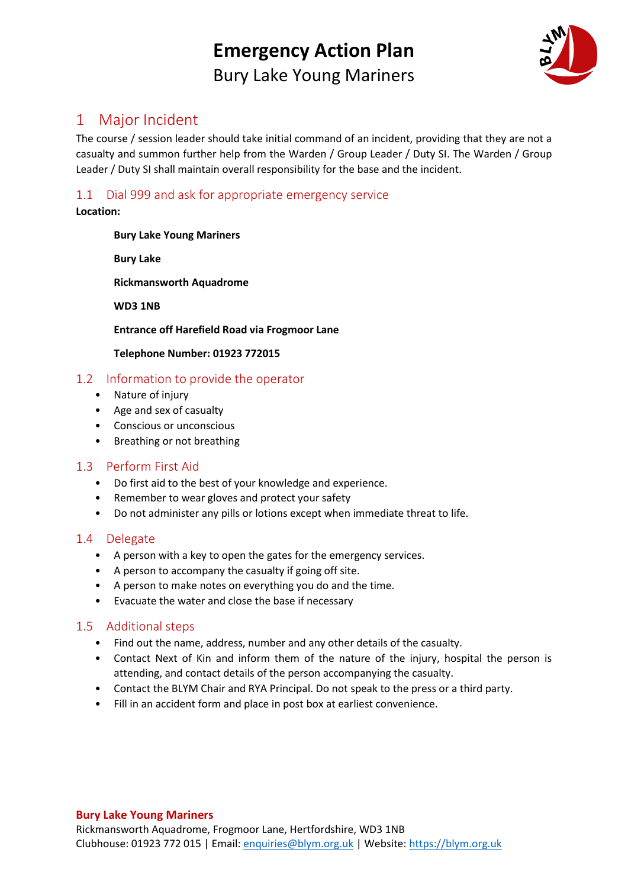# **Emergency Action Plan** Bury Lake Young Mariners



## 1 Major Incident

The course / session leader should take initial command of an incident, providing that they are not a casualty and summon further help from the Warden / Group Leader / Duty SI. The Warden / Group Leader / Duty SI shall maintain overall responsibility for the base and the incident.

### 1.1 Dial 999 and ask for appropriate emergency service

### **Location:**

### **Bury Lake Young Mariners**

**Bury Lake** 

**Rickmansworth Aquadrome** 

**WD3 1NB** 

**Entrance off Harefield Road via Frogmoor Lane** 

### **Telephone Number: 01923 772015**

### 1.2 Information to provide the operator

- Nature of injury
- Age and sex of casualty
- Conscious or unconscious
- Breathing or not breathing

### 1.3 Perform First Aid

- Do first aid to the best of your knowledge and experience.
- Remember to wear gloves and protect your safety
- Do not administer any pills or lotions except when immediate threat to life.

### 1.4 Delegate

- A person with a key to open the gates for the emergency services.
- A person to accompany the casualty if going off site.
- A person to make notes on everything you do and the time.
- Evacuate the water and close the base if necessary

### 1.5 Additional steps

- Find out the name, address, number and any other details of the casualty.
- Contact Next of Kin and inform them of the nature of the injury, hospital the person is attending, and contact details of the person accompanying the casualty.
- Contact the BLYM Chair and RYA Principal. Do not speak to the press or a third party.
- Fill in an accident form and place in post box at earliest convenience.

#### **Bury Lake Young Mariners**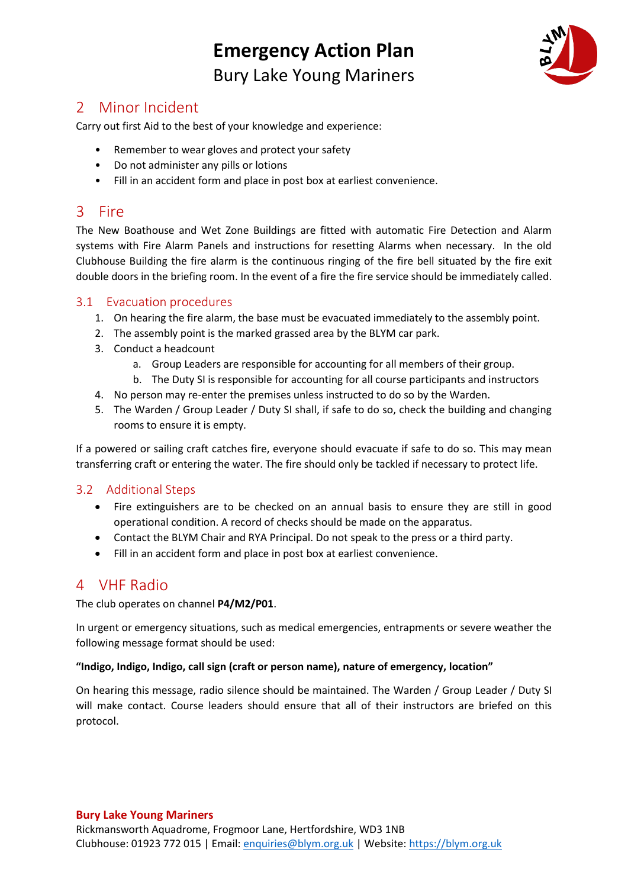# **Emergency Action Plan** Bury Lake Young Mariners



## 2 Minor Incident

Carry out first Aid to the best of your knowledge and experience:

- Remember to wear gloves and protect your safety
- Do not administer any pills or lotions
- Fill in an accident form and place in post box at earliest convenience.

## 3 Fire

The New Boathouse and Wet Zone Buildings are fitted with automatic Fire Detection and Alarm systems with Fire Alarm Panels and instructions for resetting Alarms when necessary. In the old Clubhouse Building the fire alarm is the continuous ringing of the fire bell situated by the fire exit double doors in the briefing room. In the event of a fire the fire service should be immediately called.

### 3.1 Evacuation procedures

- 1. On hearing the fire alarm, the base must be evacuated immediately to the assembly point.
- 2. The assembly point is the marked grassed area by the BLYM car park.
- 3. Conduct a headcount
	- a. Group Leaders are responsible for accounting for all members of their group.
	- b. The Duty SI is responsible for accounting for all course participants and instructors
- 4. No person may re-enter the premises unless instructed to do so by the Warden.
- 5. The Warden / Group Leader / Duty SI shall, if safe to do so, check the building and changing rooms to ensure it is empty.

If a powered or sailing craft catches fire, everyone should evacuate if safe to do so. This may mean transferring craft or entering the water. The fire should only be tackled if necessary to protect life.

### 3.2 Additional Steps

- Fire extinguishers are to be checked on an annual basis to ensure they are still in good operational condition. A record of checks should be made on the apparatus.
- Contact the BLYM Chair and RYA Principal. Do not speak to the press or a third party.
- Fill in an accident form and place in post box at earliest convenience.

## 4 VHF Radio

The club operates on channel **P4/M2/P01**.

In urgent or emergency situations, such as medical emergencies, entrapments or severe weather the following message format should be used:

#### **"Indigo, Indigo, Indigo, call sign (craft or person name), nature of emergency, location"**

On hearing this message, radio silence should be maintained. The Warden / Group Leader / Duty SI will make contact. Course leaders should ensure that all of their instructors are briefed on this protocol.

#### **Bury Lake Young Mariners**